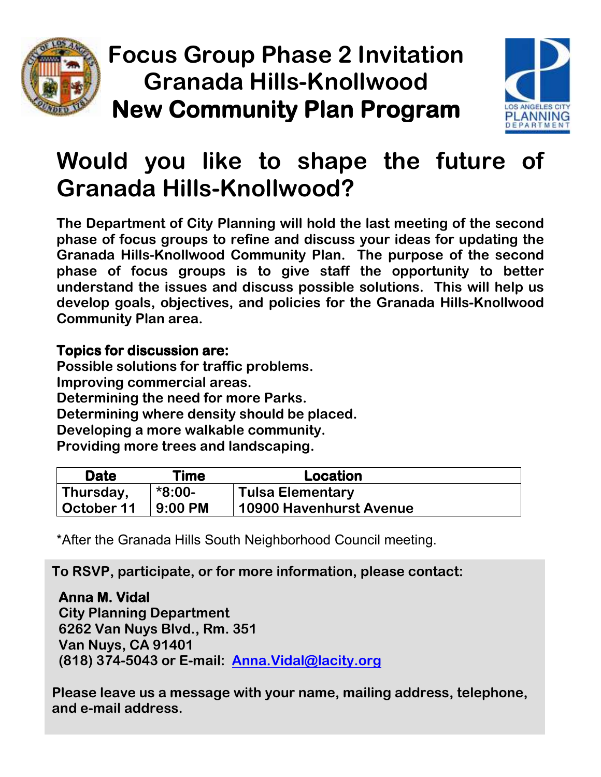

**Focus Group Phase 2 Invitation Granada Hills-Knollwood New Community Plan Program**



## **Would you like to shape the future of Granada Hills-Knollwood?**

**The Department of City Planning will hold the last meeting of the second phase of focus groups to refine and discuss your ideas for updating the Granada Hills-Knollwood Community Plan. The purpose of the second phase of focus groups is to give staff the opportunity to better understand the issues and discuss possible solutions. This will help us develop goals, objectives, and policies for the Granada Hills-Knollwood Community Plan area.** 

## **Topics for discussion are:**

**Possible solutions for traffic problems. Improving commercial areas. Determining the need for more Parks. Determining where density should be placed. Developing a more walkable community. Providing more trees and landscaping.** 

| Date       | Time      | Location                       |
|------------|-----------|--------------------------------|
| Thursday,  | *8:00-    | <b>Tulsa Elementary</b>        |
| October 11 | $9:00$ PM | <b>10900 Havenhurst Avenue</b> |

\*After the Granada Hills South Neighborhood Council meeting.

**To RSVP, participate, or for more information, please contact:**

**Anna M. Vidal City Planning Department 6262 Van Nuys Blvd., Rm. 351 Van Nuys, CA 91401 (818) 374-5043 or E-mail: Anna.Vidal@lacity.org** 

**Please leave us a message with your name, mailing address, telephone, and e-mail address.**